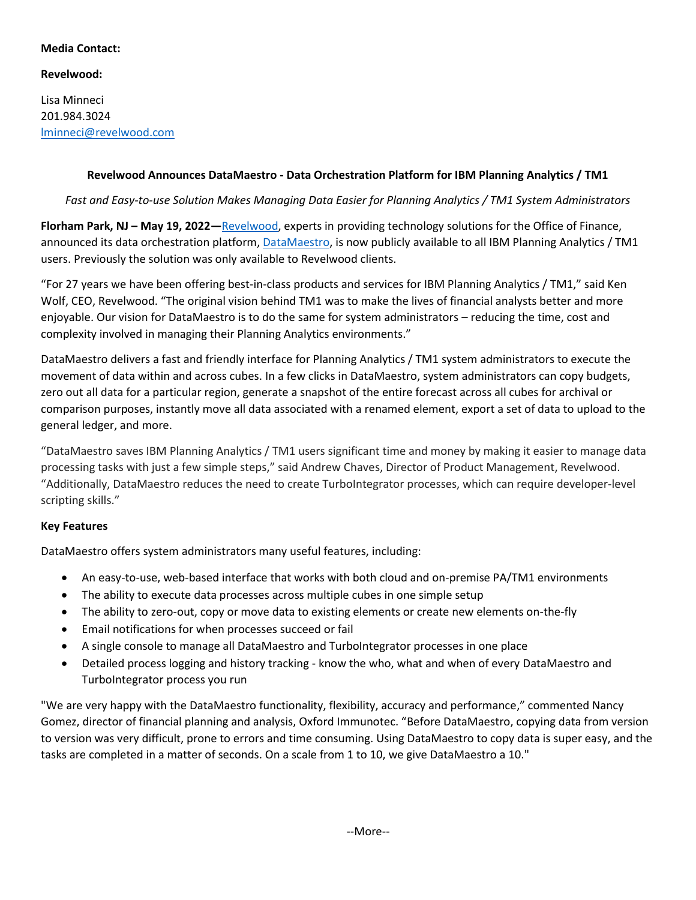### **Media Contact:**

# **Revelwood:**

Lisa Minneci 201.984.3024 [lminneci@revelwood.com](mailto:lminneci@revelwood.com)

## **Revelwood Announces DataMaestro - Data Orchestration Platform for IBM Planning Analytics / TM1**

*Fast and Easy-to-use Solution Makes Managing Data Easier for Planning Analytics / TM1 System Administrators*

**Florham Park, NJ – May 19, 2022—**[Revelwood,](http://www.revelwood.com/) experts in providing technology solutions for the Office of Finance, announced its data orchestration platform, [DataMaestro,](https://revelwood.com/what-we-do/datamaestro/) is now publicly available to all IBM Planning Analytics / TM1 users. Previously the solution was only available to Revelwood clients.

"For 27 years we have been offering best-in-class products and services for IBM Planning Analytics / TM1," said Ken Wolf, CEO, Revelwood. "The original vision behind TM1 was to make the lives of financial analysts better and more enjoyable. Our vision for DataMaestro is to do the same for system administrators – reducing the time, cost and complexity involved in managing their Planning Analytics environments."

DataMaestro delivers a fast and friendly interface for Planning Analytics / TM1 system administrators to execute the movement of data within and across cubes. In a few clicks in DataMaestro, system administrators can copy budgets, zero out all data for a particular region, generate a snapshot of the entire forecast across all cubes for archival or comparison purposes, instantly move all data associated with a renamed element, export a set of data to upload to the general ledger, and more.

"DataMaestro saves IBM Planning Analytics / TM1 users significant time and money by making it easier to manage data processing tasks with just a few simple steps," said Andrew Chaves, Director of Product Management, Revelwood. "Additionally, DataMaestro reduces the need to create TurboIntegrator processes, which can require developer-level scripting skills."

# **Key Features**

DataMaestro offers system administrators many useful features, including:

- An easy-to-use, web-based interface that works with both cloud and on-premise PA/TM1 environments
- The ability to execute data processes across multiple cubes in one simple setup
- The ability to zero-out, copy or move data to existing elements or create new elements on-the-fly
- Email notifications for when processes succeed or fail
- A single console to manage all DataMaestro and TurboIntegrator processes in one place
- Detailed process logging and history tracking know the who, what and when of every DataMaestro and TurboIntegrator process you run

"We are very happy with the DataMaestro functionality, flexibility, accuracy and performance," commented Nancy Gomez, director of financial planning and analysis, Oxford Immunotec. "Before DataMaestro, copying data from version to version was very difficult, prone to errors and time consuming. Using DataMaestro to copy data is super easy, and the tasks are completed in a matter of seconds. On a scale from 1 to 10, we give DataMaestro a 10."